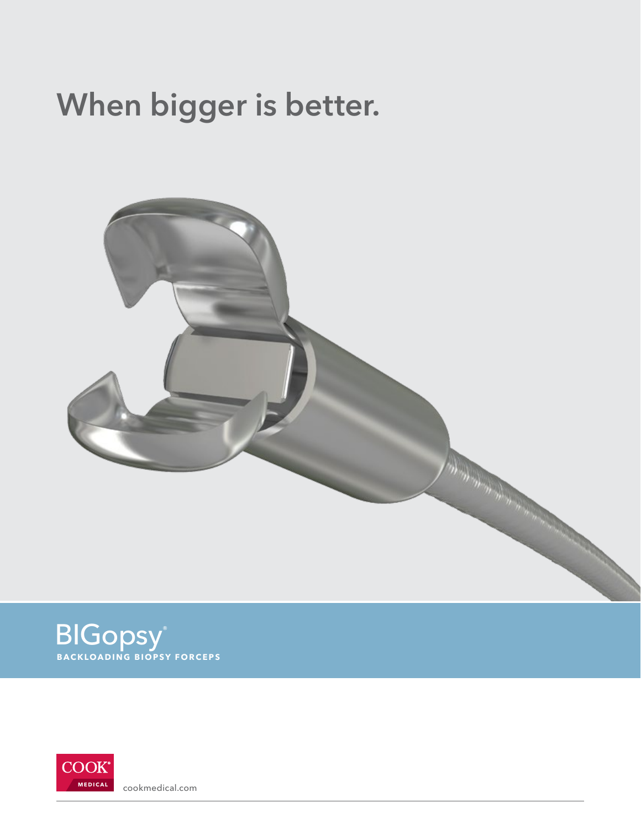## When bigger is better.







**MEDICAL** [cookmedical.com](http://cookmedical.com)